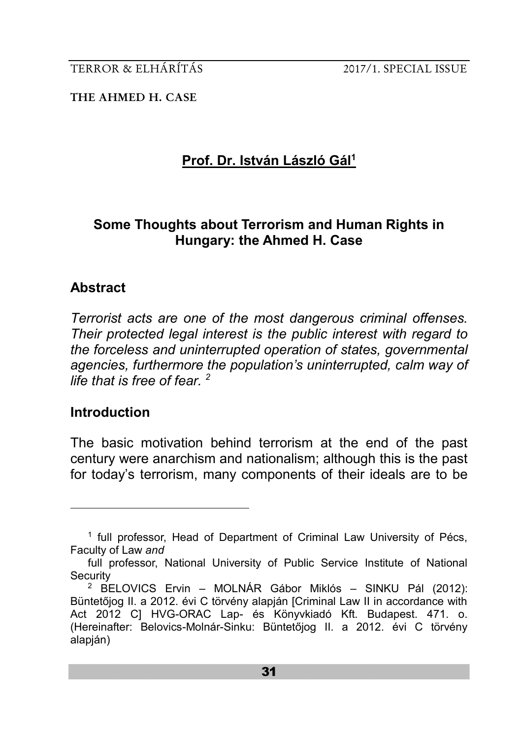**THE AHMED H. CASE**

# **Prof. Dr. István László Gál<sup>1</sup>**

# **Some Thoughts about Terrorism and Human Rights in Hungary: the Ahmed H. Case**

# **Abstract**

*Terrorist acts are one of the most dangerous criminal offenses. Their protected legal interest is the public interest with regard to the forceless and uninterrupted operation of states, governmental agencies, furthermore the population's uninterrupted, calm way of life that is free of fear. <sup>2</sup>*

# **Introduction**

<u>.</u>

The basic motivation behind terrorism at the end of the past century were anarchism and nationalism; although this is the past for today's terrorism, many components of their ideals are to be

<sup>&</sup>lt;sup>1</sup> full professor, Head of Department of Criminal Law University of Pécs, Faculty of Law *and*

full professor, National University of Public Service Institute of National **Security** 

<sup>2</sup> BELOVICS Ervin – MOLNÁR Gábor Miklós – SINKU Pál (2012): Büntetőjog II. a 2012. évi C törvény alapján [Criminal Law II in accordance with Act 2012 C] HVG-ORAC Lap- és Könyvkiadó Kft. Budapest. 471. o. (Hereinafter: Belovics-Molnár-Sinku: Büntetőjog II. a 2012. évi C törvény alapján)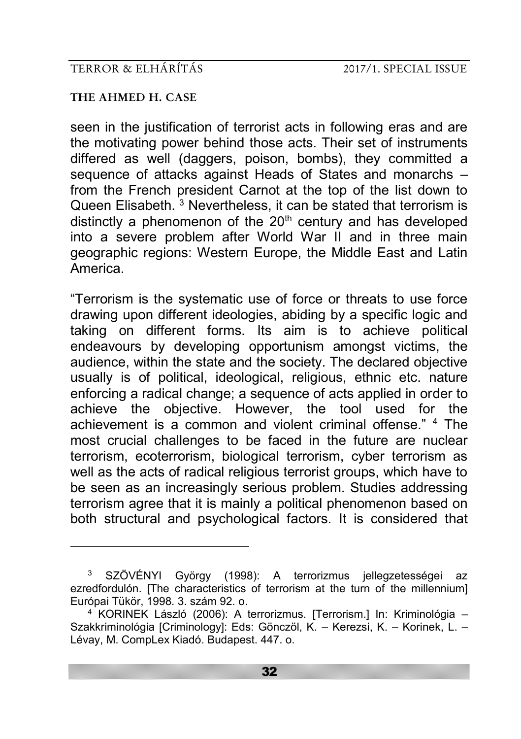#### **THE AHMED H. CASE**

<u>.</u>

seen in the justification of terrorist acts in following eras and are the motivating power behind those acts. Their set of instruments differed as well (daggers, poison, bombs), they committed a sequence of attacks against Heads of States and monarchs – from the French president Carnot at the top of the list down to Queen Elisabeth. <sup>3</sup> Nevertheless, it can be stated that terrorism is distinctly a phenomenon of the  $20<sup>th</sup>$  century and has developed into a severe problem after World War II and in three main geographic regions: Western Europe, the Middle East and Latin America.

"Terrorism is the systematic use of force or threats to use force drawing upon different ideologies, abiding by a specific logic and taking on different forms. Its aim is to achieve political endeavours by developing opportunism amongst victims, the audience, within the state and the society. The declared objective usually is of political, ideological, religious, ethnic etc. nature enforcing a radical change; a sequence of acts applied in order to achieve the objective. However, the tool used for the achievement is a common and violent criminal offense." <sup>4</sup> The most crucial challenges to be faced in the future are nuclear terrorism, ecoterrorism, biological terrorism, cyber terrorism as well as the acts of radical religious terrorist groups, which have to be seen as an increasingly serious problem. Studies addressing terrorism agree that it is mainly a political phenomenon based on both structural and psychological factors. It is considered that

<sup>3</sup> SZÖVÉNYI György (1998): A terrorizmus jellegzetességei az ezredfordulón. [The characteristics of terrorism at the turn of the millennium] Európai Tükör, 1998. 3. szám 92. o.

<sup>&</sup>lt;sup>4</sup> KORINEK László (2006): A terrorizmus. [Terrorism.] In: Kriminológia – Szakkriminológia [Criminology]: Eds: Gönczöl, K. – Kerezsi, K. – Korinek, L. – Lévay, M. CompLex Kiadó. Budapest. 447. o.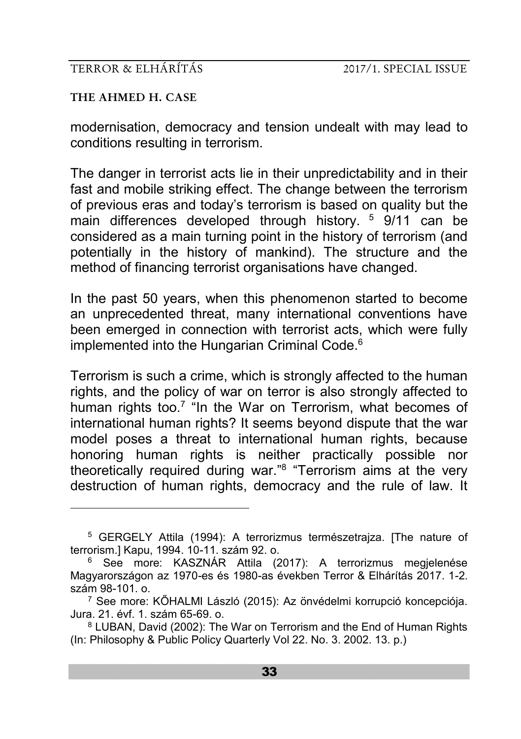#### **THE AHMED H. CASE**

<u>.</u>

modernisation, democracy and tension undealt with may lead to conditions resulting in terrorism.

The danger in terrorist acts lie in their unpredictability and in their fast and mobile striking effect. The change between the terrorism of previous eras and today's terrorism is based on quality but the main differences developed through history. <sup>5</sup> 9/11 can be considered as a main turning point in the history of terrorism (and potentially in the history of mankind). The structure and the method of financing terrorist organisations have changed.

In the past 50 years, when this phenomenon started to become an unprecedented threat, many international conventions have been emerged in connection with terrorist acts, which were fully implemented into the Hungarian Criminal Code.<sup>6</sup>

Terrorism is such a crime, which is strongly affected to the human rights, and the policy of war on terror is also strongly affected to human rights too.<sup>7</sup> "In the War on Terrorism, what becomes of international human rights? It seems beyond dispute that the war model poses a threat to international human rights, because honoring human rights is neither practically possible nor theoretically required during war."<sup>8</sup> "Terrorism aims at the very destruction of human rights, democracy and the rule of law. It

<sup>5</sup> GERGELY Attila (1994): A terrorizmus természetrajza. [The nature of terrorism.] Kapu, 1994. 10-11. szám 92. o.

<sup>6</sup> See more: KASZNÁR Attila (2017): A terrorizmus megjelenése Magyarországon az 1970-es és 1980-as években Terror & Elhárítás 2017. 1-2. szám 98-101. o.

<sup>7</sup> See more: KŐHALMI László (2015): Az önvédelmi korrupció koncepciója. Jura. 21. évf. 1. szám 65-69. o.

<sup>8</sup> LUBAN, David (2002): The War on Terrorism and the End of Human Rights (In: Philosophy & Public Policy Quarterly Vol 22. No. 3. 2002. 13. p.)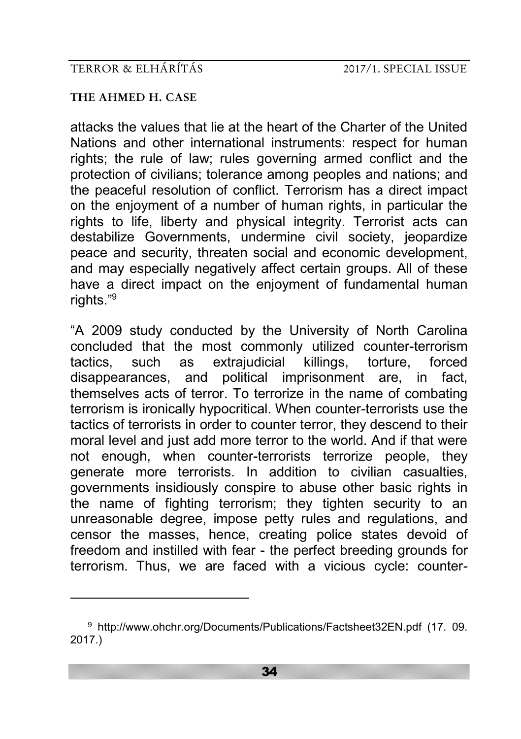#### **THE AHMED H. CASE**

-

attacks the values that lie at the heart of the Charter of the United Nations and other international instruments: respect for human rights; the rule of law; rules governing armed conflict and the protection of civilians; tolerance among peoples and nations; and the peaceful resolution of conflict. Terrorism has a direct impact on the enjoyment of a number of human rights, in particular the rights to life, liberty and physical integrity. Terrorist acts can destabilize Governments, undermine civil society, jeopardize peace and security, threaten social and economic development, and may especially negatively affect certain groups. All of these have a direct impact on the enjoyment of fundamental human rights."9

"A 2009 study conducted by the University of North Carolina concluded that the most commonly utilized counter-terrorism tactics, such as extrajudicial killings, torture, forced disappearances, and political imprisonment are, in fact, themselves acts of terror. To terrorize in the name of combating terrorism is ironically hypocritical. When counter-terrorists use the tactics of terrorists in order to counter terror, they descend to their moral level and just add more terror to the world. And if that were not enough, when counter-terrorists terrorize people, they generate more terrorists. In addition to civilian casualties, governments insidiously conspire to abuse other basic rights in the name of fighting terrorism; they tighten security to an unreasonable degree, impose petty rules and regulations, and censor the masses, hence, creating police states devoid of freedom and instilled with fear - the perfect breeding grounds for terrorism. Thus, we are faced with a vicious cycle: counter-

<sup>9</sup> http://www.ohchr.org/Documents/Publications/Factsheet32EN.pdf (17. 09. 2017.)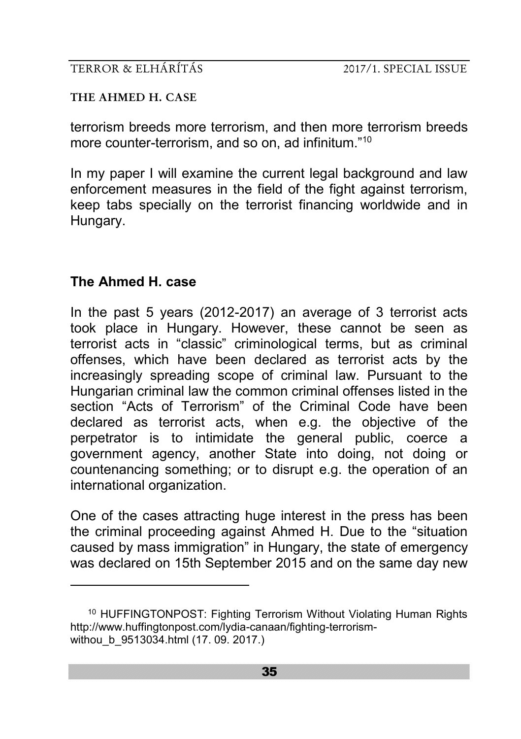**THE AHMED H. CASE**

terrorism breeds more terrorism, and then more terrorism breeds more counter-terrorism, and so on, ad infinitum."<sup>10</sup>

In my paper I will examine the current legal background and law enforcement measures in the field of the fight against terrorism, keep tabs specially on the terrorist financing worldwide and in Hungary.

# **The Ahmed H. case**

<u>.</u>

In the past 5 years (2012-2017) an average of 3 terrorist acts took place in Hungary. However, these cannot be seen as terrorist acts in "classic" criminological terms, but as criminal offenses, which have been declared as terrorist acts by the increasingly spreading scope of criminal law. Pursuant to the Hungarian criminal law the common criminal offenses listed in the section "Acts of Terrorism" of the Criminal Code have been declared as terrorist acts, when e.g. the objective of the perpetrator is to intimidate the general public, coerce a government agency, another State into doing, not doing or countenancing something; or to disrupt e.g. the operation of an international organization.

One of the cases attracting huge interest in the press has been the criminal proceeding against Ahmed H. Due to the "situation caused by mass immigration" in Hungary, the state of emergency was declared on 15th September 2015 and on the same day new

<sup>10</sup> HUFFINGTONPOST: Fighting Terrorism Without Violating Human Rights http://www.huffingtonpost.com/lydia-canaan/fighting-terrorismwithou b 9513034.html (17. 09. 2017.)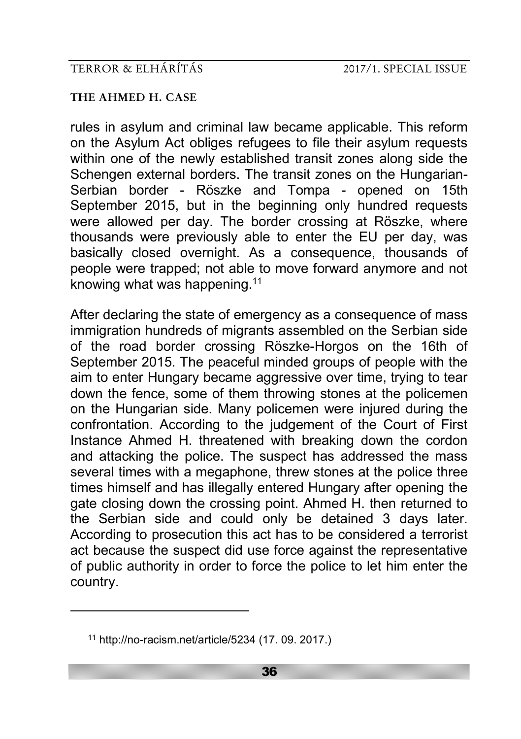#### **THE AHMED H. CASE**

rules in asylum and criminal law became applicable. This reform on the Asylum Act obliges refugees to file their asylum requests within one of the newly established transit zones along side the Schengen external borders. The transit zones on the Hungarian-Serbian border - Röszke and Tompa - opened on 15th September 2015, but in the beginning only hundred requests were allowed per day. The border crossing at Röszke, where thousands were previously able to enter the EU per day, was basically closed overnight. As a consequence, thousands of people were trapped; not able to move forward anymore and not knowing what was happening.<sup>11</sup>

After declaring the state of emergency as a consequence of mass immigration hundreds of migrants assembled on the Serbian side of the road border crossing Röszke-Horgos on the 16th of September 2015. The peaceful minded groups of people with the aim to enter Hungary became aggressive over time, trying to tear down the fence, some of them throwing stones at the policemen on the Hungarian side. Many policemen were injured during the confrontation. According to the judgement of the Court of First Instance Ahmed H. threatened with breaking down the cordon and attacking the police. The suspect has addressed the mass several times with a megaphone, threw stones at the police three times himself and has illegally entered Hungary after opening the gate closing down the crossing point. Ahmed H. then returned to the Serbian side and could only be detained 3 days later. According to prosecution this act has to be considered a terrorist act because the suspect did use force against the representative of public authority in order to force the police to let him enter the country.

<u>.</u>

<sup>11</sup> http://no-racism.net/article/5234 (17. 09. 2017.)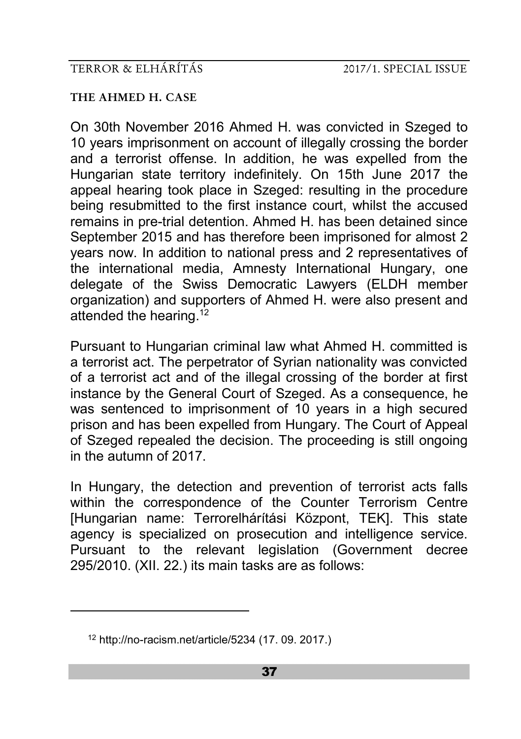#### **THE AHMED H. CASE**

On 30th November 2016 Ahmed H. was convicted in Szeged to 10 years imprisonment on account of illegally crossing the border and a terrorist offense. In addition, he was expelled from the Hungarian state territory indefinitely. On 15th June 2017 the appeal hearing took place in Szeged: resulting in the procedure being resubmitted to the first instance court, whilst the accused remains in pre-trial detention. Ahmed H. has been detained since September 2015 and has therefore been imprisoned for almost 2 years now. In addition to national press and 2 representatives of the international media, Amnesty International Hungary, one delegate of the Swiss Democratic Lawyers (ELDH member organization) and supporters of Ahmed H. were also present and attended the hearing.<sup>12</sup>

Pursuant to Hungarian criminal law what Ahmed H. committed is a terrorist act. The perpetrator of Syrian nationality was convicted of a terrorist act and of the illegal crossing of the border at first instance by the General Court of Szeged. As a consequence, he was sentenced to imprisonment of 10 years in a high secured prison and has been expelled from Hungary. The Court of Appeal of Szeged repealed the decision. The proceeding is still ongoing in the autumn of 2017.

In Hungary, the detection and prevention of terrorist acts falls within the correspondence of the Counter Terrorism Centre [Hungarian name: Terrorelhárítási Központ, TEK]. This state agency is specialized on prosecution and intelligence service. Pursuant to the relevant legislation (Government decree 295/2010. (XII. 22.) its main tasks are as follows:

<u>.</u>

<sup>12</sup> http://no-racism.net/article/5234 (17. 09. 2017.)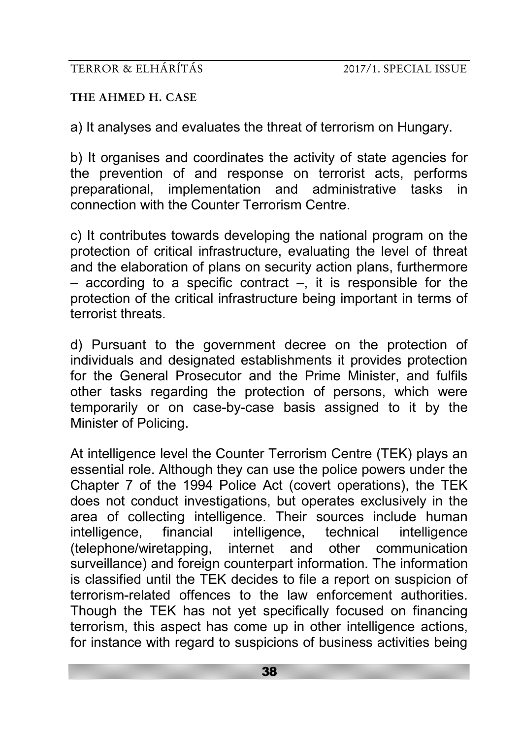### **THE AHMED H. CASE**

a) It analyses and evaluates the threat of terrorism on Hungary.

b) It organises and coordinates the activity of state agencies for the prevention of and response on terrorist acts, performs preparational, implementation and administrative tasks in connection with the Counter Terrorism Centre.

c) It contributes towards developing the national program on the protection of critical infrastructure, evaluating the level of threat and the elaboration of plans on security action plans, furthermore  $-$  according to a specific contract  $-$ , it is responsible for the protection of the critical infrastructure being important in terms of terrorist threats.

d) Pursuant to the government decree on the protection of individuals and designated establishments it provides protection for the General Prosecutor and the Prime Minister, and fulfils other tasks regarding the protection of persons, which were temporarily or on case-by-case basis assigned to it by the Minister of Policing.

At intelligence level the Counter Terrorism Centre (TEK) plays an essential role. Although they can use the police powers under the Chapter 7 of the 1994 Police Act (covert operations), the TEK does not conduct investigations, but operates exclusively in the area of collecting intelligence. Their sources include human intelligence, financial intelligence, technical intelligence (telephone/wiretapping, internet and other communication surveillance) and foreign counterpart information. The information is classified until the TEK decides to file a report on suspicion of terrorism-related offences to the law enforcement authorities. Though the TEK has not yet specifically focused on financing terrorism, this aspect has come up in other intelligence actions, for instance with regard to suspicions of business activities being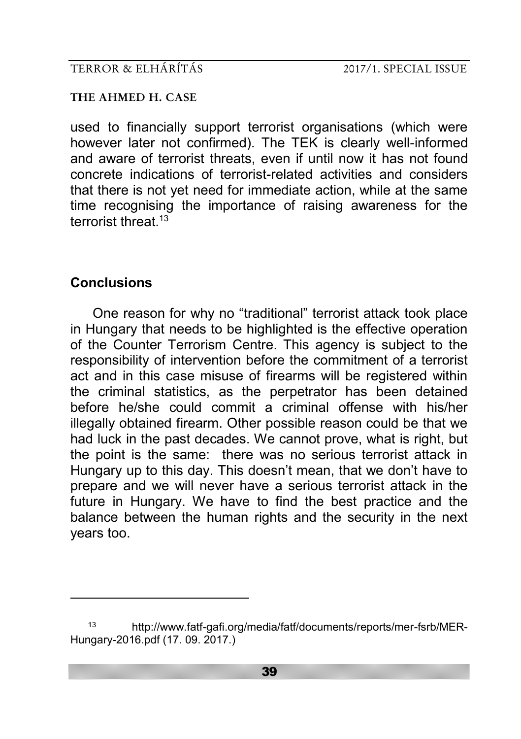**THE AHMED H. CASE**

used to financially support terrorist organisations (which were however later not confirmed). The TEK is clearly well-informed and aware of terrorist threats, even if until now it has not found concrete indications of terrorist-related activities and considers that there is not yet need for immediate action, while at the same time recognising the importance of raising awareness for the terrorist threat 13

## **Conclusions**

-

One reason for why no "traditional" terrorist attack took place in Hungary that needs to be highlighted is the effective operation of the Counter Terrorism Centre. This agency is subject to the responsibility of intervention before the commitment of a terrorist act and in this case misuse of firearms will be registered within the criminal statistics, as the perpetrator has been detained before he/she could commit a criminal offense with his/her illegally obtained firearm. Other possible reason could be that we had luck in the past decades. We cannot prove, what is right, but the point is the same: there was no serious terrorist attack in Hungary up to this day. This doesn't mean, that we don't have to prepare and we will never have a serious terrorist attack in the future in Hungary. We have to find the best practice and the balance between the human rights and the security in the next years too.

<sup>13</sup> http://www.fatf-gafi.org/media/fatf/documents/reports/mer-fsrb/MER-Hungary-2016.pdf (17. 09. 2017.)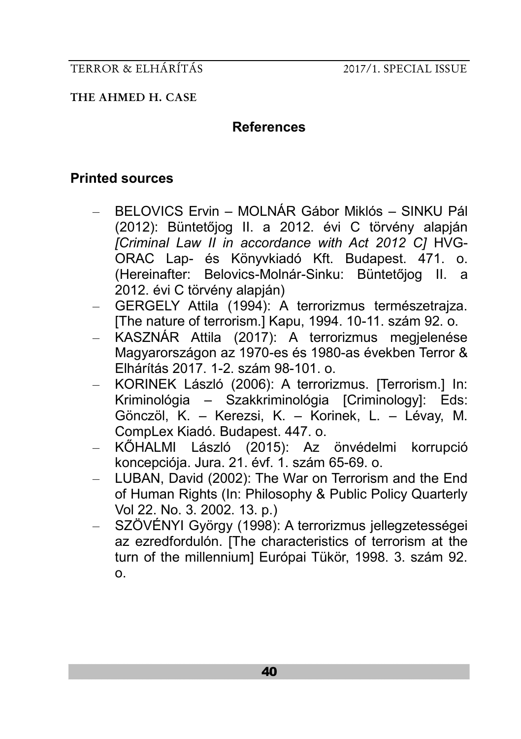**THE AHMED H. CASE**

### **References**

## **Printed sources**

- BELOVICS Ervin MOLNÁR Gábor Miklós SINKU Pál (2012): Büntetőjog II. a 2012. évi C törvény alapján *[Criminal Law II in accordance with Act 2012 C]* HVG-ORAC Lap- és Könyvkiadó Kft. Budapest. 471. o. (Hereinafter: Belovics-Molnár-Sinku: Büntetőjog II. a 2012. évi C törvény alapján)
- GERGELY Attila (1994): A terrorizmus természetrajza. [The nature of terrorism.] Kapu, 1994. 10-11. szám 92. o.
- KASZNÁR Attila (2017): A terrorizmus megjelenése Magyarországon az 1970-es és 1980-as években Terror & Elhárítás 2017. 1-2. szám 98-101. o.
- KORINEK László (2006): A terrorizmus. [Terrorism.] In: Kriminológia – Szakkriminológia [Criminology]: Eds: Gönczöl, K. – Kerezsi, K. – Korinek, L. – Lévay, M. CompLex Kiadó. Budapest. 447. o.
- KŐHALMI László (2015): Az önvédelmi korrupció koncepciója. Jura. 21. évf. 1. szám 65-69. o.
- LUBAN, David (2002): The War on Terrorism and the End of Human Rights (In: Philosophy & Public Policy Quarterly Vol 22. No. 3. 2002. 13. p.)
- SZÖVÉNYI György (1998): A terrorizmus jellegzetességei az ezredfordulón. [The characteristics of terrorism at the turn of the millennium] Európai Tükör, 1998. 3. szám 92. o.